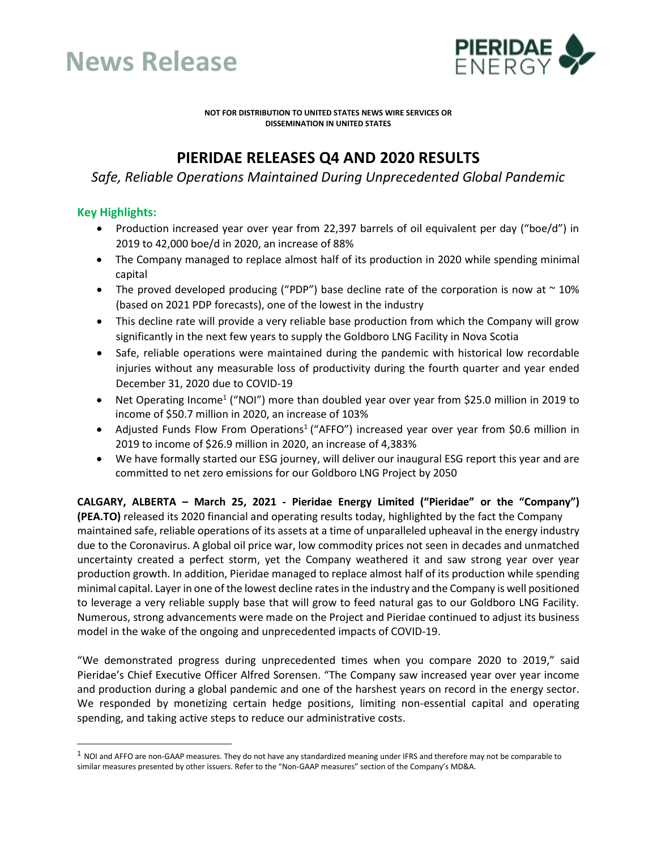



**NOT FOR DISTRIBUTION TO UNITED STATES NEWS WIRE SERVICES OR DISSEMINATION IN UNITED STATES**

# **PIERIDAE RELEASES Q4 AND 2020 RESULTS**

*Safe, Reliable Operations Maintained During Unprecedented Global Pandemic*

## **Key Highlights:**

- Production increased year over year from 22,397 barrels of oil equivalent per day ("boe/d") in 2019 to 42,000 boe/d in 2020, an increase of 88%
- The Company managed to replace almost half of its production in 2020 while spending minimal capital
- The proved developed producing ("PDP") base decline rate of the corporation is now at  $\sim$  10% (based on 2021 PDP forecasts), one of the lowest in the industry
- This decline rate will provide a very reliable base production from which the Company will grow significantly in the next few years to supply the Goldboro LNG Facility in Nova Scotia
- Safe, reliable operations were maintained during the pandemic with historical low recordable injuries without any measurable loss of productivity during the fourth quarter and year ended December 31, 2020 due to COVID-19
- Net Operating Income<sup>1</sup> ("NOI") more than doubled year over year from \$25.0 million in 2019 to income of \$50.7 million in 2020, an increase of 103%
- Adjusted Funds Flow From Operations<sup>1</sup> ("AFFO") increased year over year from \$0.6 million in 2019 to income of \$26.9 million in 2020, an increase of 4,383%
- We have formally started our ESG journey, will deliver our inaugural ESG report this year and are committed to net zero emissions for our Goldboro LNG Project by 2050

**CALGARY, ALBERTA – March 25, 2021 - Pieridae Energy Limited ("Pieridae" or the "Company") (PEA.TO)** released its 2020 financial and operating results today, highlighted by the fact the Company maintained safe, reliable operations of its assets at a time of unparalleled upheaval in the energy industry due to the Coronavirus. A global oil price war, low commodity prices not seen in decades and unmatched uncertainty created a perfect storm, yet the Company weathered it and saw strong year over year production growth. In addition, Pieridae managed to replace almost half of its production while spending minimal capital. Layer in one of the lowest decline rates in the industry and the Company is well positioned to leverage a very reliable supply base that will grow to feed natural gas to our Goldboro LNG Facility. Numerous, strong advancements were made on the Project and Pieridae continued to adjust its business model in the wake of the ongoing and unprecedented impacts of COVID-19.

"We demonstrated progress during unprecedented times when you compare 2020 to 2019," said Pieridae's Chief Executive Officer Alfred Sorensen. "The Company saw increased year over year income and production during a global pandemic and one of the harshest years on record in the energy sector. We responded by monetizing certain hedge positions, limiting non-essential capital and operating spending, and taking active steps to reduce our administrative costs.

 $1$  NOI and AFFO are non-GAAP measures. They do not have any standardized meaning under IFRS and therefore may not be comparable to similar measures presented by other issuers. Refer to the "Non-GAAP measures" section of the Company's MD&A.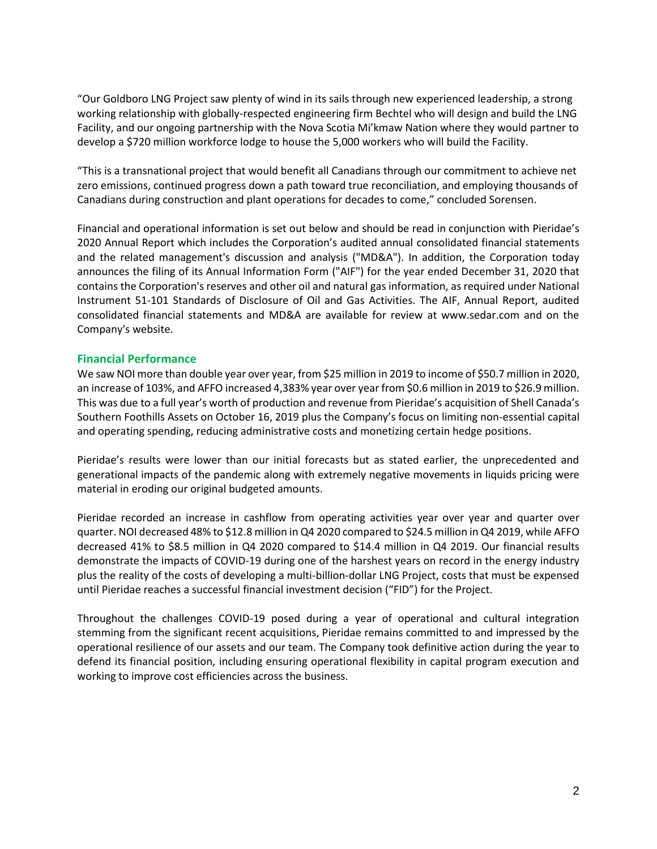"Our Goldboro LNG Project saw plenty of wind in its sails through new experienced leadership, a strong working relationship with globally-respected engineering firm Bechtel who will design and build the LNG Facility, and our ongoing partnership with the Nova Scotia Mi'kmaw Nation where they would partner to develop a \$720 million workforce lodge to house the 5,000 workers who will build the Facility.

"This is a transnational project that would benefit all Canadians through our commitment to achieve net zero emissions, continued progress down a path toward true reconciliation, and employing thousands of Canadians during construction and plant operations for decades to come," concluded Sorensen.

Financial and operational information is set out below and should be read in conjunction with Pieridae's 2020 Annual Report which includes the Corporation's audited annual consolidated financial statements and the related management's discussion and analysis ("MD&A"). In addition, the Corporation today announces the filing of its Annual Information Form ("AIF") for the year ended December 31, 2020 that contains the Corporation's reserves and other oil and natural gas information, as required under National Instrument 51-101 Standards of Disclosure of Oil and Gas Activities. The AIF, Annual Report, audited consolidated financial statements and MD&A are available for review at www.sedar.com and on the Company's website.

## **Financial Performance**

We saw NOI more than double year over year, from \$25 million in 2019 to income of \$50.7 million in 2020, an increase of 103%, and AFFO increased 4,383% year over year from \$0.6 million in 2019 to \$26.9 million. This was due to a full year's worth of production and revenue from Pieridae's acquisition of Shell Canada's Southern Foothills Assets on October 16, 2019 plus the Company's focus on limiting non-essential capital and operating spending, reducing administrative costs and monetizing certain hedge positions.

Pieridae's results were lower than our initial forecasts but as stated earlier, the unprecedented and generational impacts of the pandemic along with extremely negative movements in liquids pricing were material in eroding our original budgeted amounts.

Pieridae recorded an increase in cashflow from operating activities year over year and quarter over quarter. NOI decreased 48% to \$12.8 million in Q4 2020 compared to \$24.5 million in Q4 2019, while AFFO decreased 41% to \$8.5 million in Q4 2020 compared to \$14.4 million in Q4 2019. Our financial results demonstrate the impacts of COVID-19 during one of the harshest years on record in the energy industry plus the reality of the costs of developing a multi-billion-dollar LNG Project, costs that must be expensed until Pieridae reaches a successful financial investment decision ("FID") for the Project.

Throughout the challenges COVID-19 posed during a year of operational and cultural integration stemming from the significant recent acquisitions, Pieridae remains committed to and impressed by the operational resilience of our assets and our team. The Company took definitive action during the year to defend its financial position, including ensuring operational flexibility in capital program execution and working to improve cost efficiencies across the business.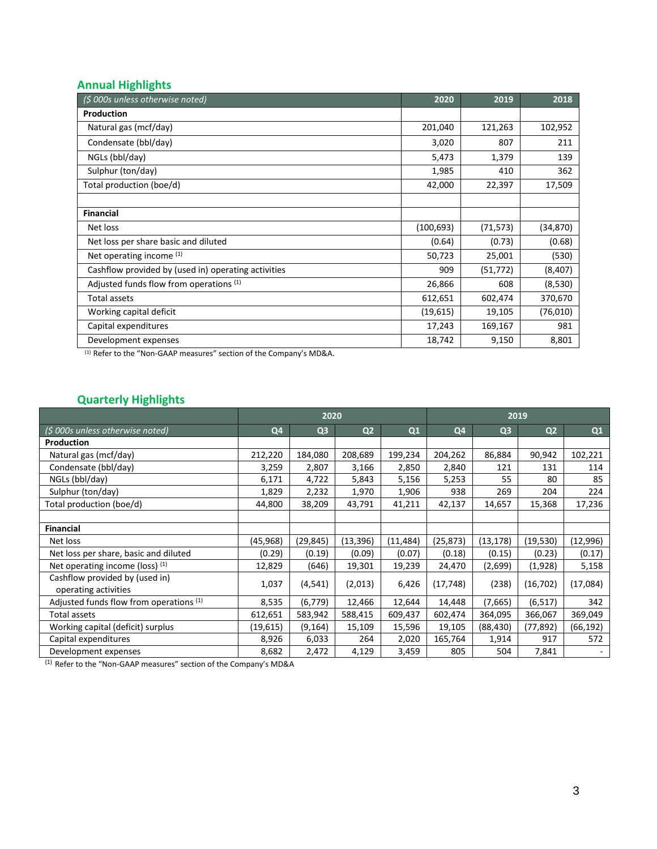## **Annual Highlights**

| (\$ 000s unless otherwise noted)                    | 2020       | 2019      | 2018      |
|-----------------------------------------------------|------------|-----------|-----------|
| Production                                          |            |           |           |
| Natural gas (mcf/day)                               | 201,040    | 121,263   | 102,952   |
| Condensate (bbl/day)                                | 3,020      | 807       | 211       |
| NGLs (bbl/day)                                      | 5,473      | 1,379     | 139       |
| Sulphur (ton/day)                                   | 1,985      | 410       | 362       |
| Total production (boe/d)                            | 42,000     | 22,397    | 17,509    |
|                                                     |            |           |           |
| <b>Financial</b>                                    |            |           |           |
| Net loss                                            | (100, 693) | (71, 573) | (34, 870) |
| Net loss per share basic and diluted                | (0.64)     | (0.73)    | (0.68)    |
| Net operating income (1)                            | 50,723     | 25,001    | (530)     |
| Cashflow provided by (used in) operating activities | 909        | (51, 772) | (8,407)   |
| Adjusted funds flow from operations (1)             | 26,866     | 608       | (8,530)   |
| Total assets                                        | 612,651    | 602,474   | 370,670   |
| Working capital deficit                             | (19,615)   | 19,105    | (76,010)  |
| Capital expenditures                                | 17,243     | 169,167   | 981       |
| Development expenses                                | 18,742     | 9,150     | 8,801     |

(1) Refer to the "Non-GAAP measures" section of the Company's MD&A.

## **Quarterly Highlights**

|                                                        | 2020           |                |                | 2019      |           |                |                |           |
|--------------------------------------------------------|----------------|----------------|----------------|-----------|-----------|----------------|----------------|-----------|
| (\$ 000s unless otherwise noted)                       | Q <sub>4</sub> | Q <sub>3</sub> | Q <sub>2</sub> | Q1        | Q4        | Q <sub>3</sub> | Q <sub>2</sub> | Q1        |
| Production                                             |                |                |                |           |           |                |                |           |
| Natural gas (mcf/day)                                  | 212,220        | 184,080        | 208,689        | 199,234   | 204,262   | 86,884         | 90,942         | 102,221   |
| Condensate (bbl/day)                                   | 3,259          | 2,807          | 3,166          | 2,850     | 2,840     | 121            | 131            | 114       |
| NGLs (bbl/day)                                         | 6,171          | 4,722          | 5,843          | 5,156     | 5,253     | 55             | 80             | 85        |
| Sulphur (ton/day)                                      | 1,829          | 2,232          | 1,970          | 1,906     | 938       | 269            | 204            | 224       |
| Total production (boe/d)                               | 44,800         | 38,209         | 43,791         | 41,211    | 42,137    | 14,657         | 15,368         | 17,236    |
|                                                        |                |                |                |           |           |                |                |           |
| <b>Financial</b>                                       |                |                |                |           |           |                |                |           |
| Net loss                                               | (45, 968)      | (29, 845)      | (13, 396)      | (11, 484) | (25, 873) | (13, 178)      | (19,530)       | (12,996)  |
| Net loss per share, basic and diluted                  | (0.29)         | (0.19)         | (0.09)         | (0.07)    | (0.18)    | (0.15)         | (0.23)         | (0.17)    |
| Net operating income (loss) (1)                        | 12,829         | (646)          | 19,301         | 19,239    | 24,470    | (2,699)        | (1,928)        | 5,158     |
| Cashflow provided by (used in)<br>operating activities | 1,037          | (4, 541)       | (2,013)        | 6,426     | (17, 748) | (238)          | (16, 702)      | (17,084)  |
| Adjusted funds flow from operations (1)                | 8,535          | (6, 779)       | 12,466         | 12,644    | 14,448    | (7,665)        | (6, 517)       | 342       |
| Total assets                                           | 612,651        | 583,942        | 588,415        | 609,437   | 602,474   | 364,095        | 366,067        | 369,049   |
| Working capital (deficit) surplus                      | (19, 615)      | (9, 164)       | 15,109         | 15,596    | 19,105    | (88, 430)      | (77,892)       | (66, 192) |
| Capital expenditures                                   | 8,926          | 6,033          | 264            | 2,020     | 165,764   | 1,914          | 917            | 572       |
| Development expenses                                   | 8,682          | 2,472          | 4,129          | 3,459     | 805       | 504            | 7,841          |           |

(1) Refer to the "Non-GAAP measures" section of the Company's MD&A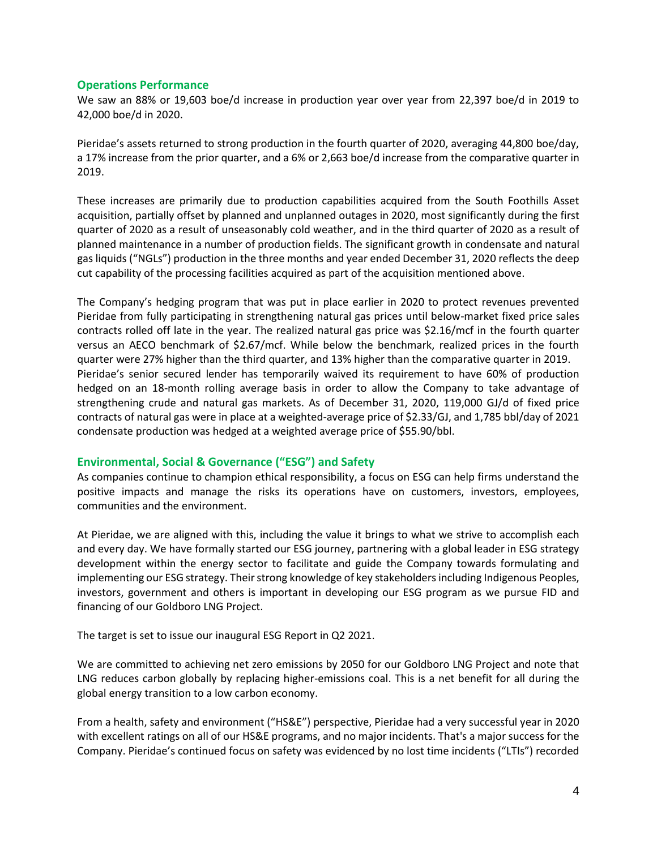#### **Operations Performance**

We saw an 88% or 19,603 boe/d increase in production year over year from 22,397 boe/d in 2019 to 42,000 boe/d in 2020.

Pieridae's assets returned to strong production in the fourth quarter of 2020, averaging 44,800 boe/day, a 17% increase from the prior quarter, and a 6% or 2,663 boe/d increase from the comparative quarter in 2019.

These increases are primarily due to production capabilities acquired from the South Foothills Asset acquisition, partially offset by planned and unplanned outages in 2020, most significantly during the first quarter of 2020 as a result of unseasonably cold weather, and in the third quarter of 2020 as a result of planned maintenance in a number of production fields. The significant growth in condensate and natural gas liquids ("NGLs") production in the three months and year ended December 31, 2020 reflects the deep cut capability of the processing facilities acquired as part of the acquisition mentioned above.

The Company's hedging program that was put in place earlier in 2020 to protect revenues prevented Pieridae from fully participating in strengthening natural gas prices until below-market fixed price sales contracts rolled off late in the year. The realized natural gas price was \$2.16/mcf in the fourth quarter versus an AECO benchmark of \$2.67/mcf. While below the benchmark, realized prices in the fourth quarter were 27% higher than the third quarter, and 13% higher than the comparative quarter in 2019. Pieridae's senior secured lender has temporarily waived its requirement to have 60% of production hedged on an 18-month rolling average basis in order to allow the Company to take advantage of strengthening crude and natural gas markets. As of December 31, 2020, 119,000 GJ/d of fixed price contracts of natural gas were in place at a weighted-average price of \$2.33/GJ, and 1,785 bbl/day of 2021 condensate production was hedged at a weighted average price of \$55.90/bbl.

## **Environmental, Social & Governance ("ESG") and Safety**

As companies continue to champion ethical responsibility, a focus on ESG can help firms understand the positive impacts and manage the risks its operations have on customers, investors, employees, communities and the environment.

At Pieridae, we are aligned with this, including the value it brings to what we strive to accomplish each and every day. We have formally started our ESG journey, partnering with a global leader in ESG strategy development within the energy sector to facilitate and guide the Company towards formulating and implementing our ESG strategy. Their strong knowledge of key stakeholders including Indigenous Peoples, investors, government and others is important in developing our ESG program as we pursue FID and financing of our Goldboro LNG Project.

The target is set to issue our inaugural ESG Report in Q2 2021.

We are committed to achieving net zero emissions by 2050 for our Goldboro LNG Project and note that LNG reduces carbon globally by replacing higher-emissions coal. This is a net benefit for all during the global energy transition to a low carbon economy.

From a health, safety and environment ("HS&E") perspective, Pieridae had a very successful year in 2020 with excellent ratings on all of our HS&E programs, and no major incidents. That's a major success for the Company. Pieridae's continued focus on safety was evidenced by no lost time incidents ("LTIs") recorded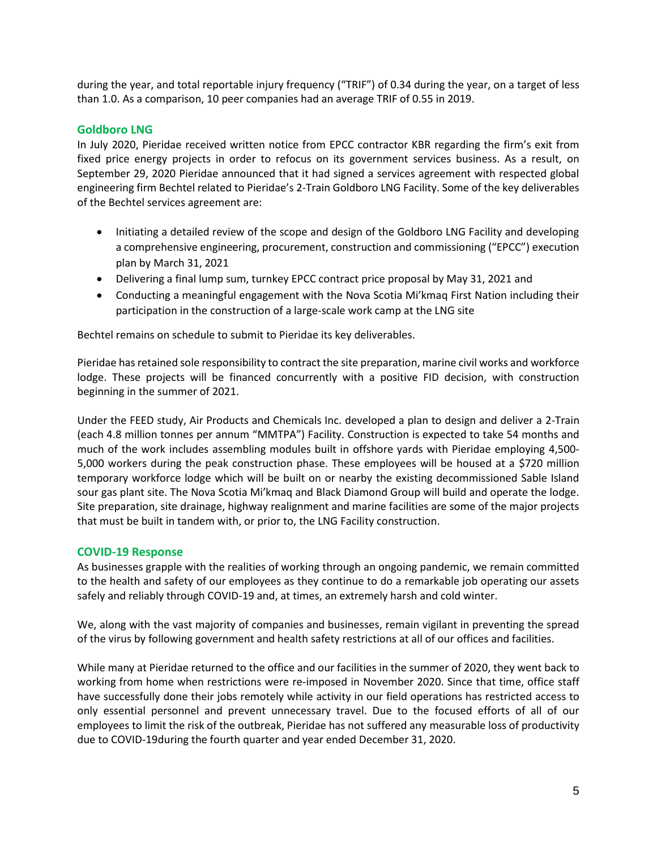during the year, and total reportable injury frequency ("TRIF") of 0.34 during the year, on a target of less than 1.0. As a comparison, 10 peer companies had an average TRIF of 0.55 in 2019.

## **Goldboro LNG**

In July 2020, Pieridae received written notice from EPCC contractor KBR regarding the firm's exit from fixed price energy projects in order to refocus on its government services business. As a result, on September 29, 2020 Pieridae announced that it had signed a services agreement with respected global engineering firm Bechtel related to Pieridae's 2-Train Goldboro LNG Facility. Some of the key deliverables of the Bechtel services agreement are:

- Initiating a detailed review of the scope and design of the Goldboro LNG Facility and developing a comprehensive engineering, procurement, construction and commissioning ("EPCC") execution plan by March 31, 2021
- Delivering a final lump sum, turnkey EPCC contract price proposal by May 31, 2021 and
- Conducting a meaningful engagement with the Nova Scotia Mi'kmaq First Nation including their participation in the construction of a large-scale work camp at the LNG site

Bechtel remains on schedule to submit to Pieridae its key deliverables.

Pieridae has retained sole responsibility to contract the site preparation, marine civil works and workforce lodge. These projects will be financed concurrently with a positive FID decision, with construction beginning in the summer of 2021.

Under the FEED study, Air Products and Chemicals Inc. developed a plan to design and deliver a 2-Train (each 4.8 million tonnes per annum "MMTPA") Facility. Construction is expected to take 54 months and much of the work includes assembling modules built in offshore yards with Pieridae employing 4,500- 5,000 workers during the peak construction phase. These employees will be housed at a \$720 million temporary workforce lodge which will be built on or nearby the existing decommissioned Sable Island sour gas plant site. The Nova Scotia Mi'kmaq and Black Diamond Group will build and operate the lodge. Site preparation, site drainage, highway realignment and marine facilities are some of the major projects that must be built in tandem with, or prior to, the LNG Facility construction.

## **COVID-19 Response**

As businesses grapple with the realities of working through an ongoing pandemic, we remain committed to the health and safety of our employees as they continue to do a remarkable job operating our assets safely and reliably through COVID-19 and, at times, an extremely harsh and cold winter.

We, along with the vast majority of companies and businesses, remain vigilant in preventing the spread of the virus by following government and health safety restrictions at all of our offices and facilities.

While many at Pieridae returned to the office and our facilities in the summer of 2020, they went back to working from home when restrictions were re-imposed in November 2020. Since that time, office staff have successfully done their jobs remotely while activity in our field operations has restricted access to only essential personnel and prevent unnecessary travel. Due to the focused efforts of all of our employees to limit the risk of the outbreak, Pieridae has not suffered any measurable loss of productivity due to COVID-19during the fourth quarter and year ended December 31, 2020.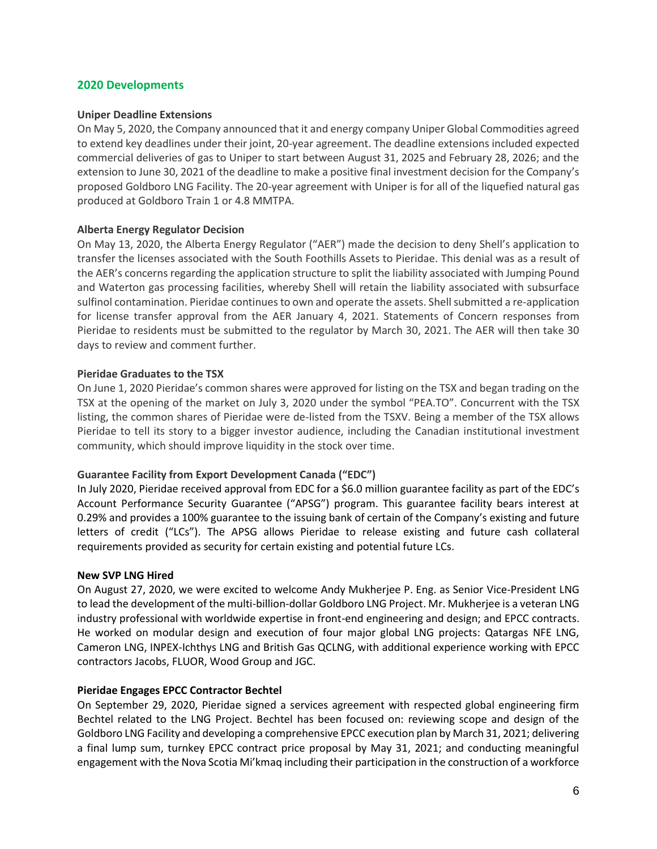## **2020 Developments**

#### **Uniper Deadline Extensions**

On May 5, 2020, the Company announced that it and energy company Uniper Global Commodities agreed to extend key deadlines under their joint, 20-year agreement. The deadline extensions included expected commercial deliveries of gas to Uniper to start between August 31, 2025 and February 28, 2026; and the extension to June 30, 2021 of the deadline to make a positive final investment decision for the Company's proposed Goldboro LNG Facility. The 20-year agreement with Uniper is for all of the liquefied natural gas produced at Goldboro Train 1 or 4.8 MMTPA.

#### **Alberta Energy Regulator Decision**

On May 13, 2020, the Alberta Energy Regulator ("AER") made the decision to deny Shell's application to transfer the licenses associated with the South Foothills Assets to Pieridae. This denial was as a result of the AER's concerns regarding the application structure to split the liability associated with Jumping Pound and Waterton gas processing facilities, whereby Shell will retain the liability associated with subsurface sulfinol contamination. Pieridae continues to own and operate the assets. Shell submitted a re-application for license transfer approval from the AER January 4, 2021. Statements of Concern responses from Pieridae to residents must be submitted to the regulator by March 30, 2021. The AER will then take 30 days to review and comment further.

#### **Pieridae Graduates to the TSX**

On June 1, 2020 Pieridae's common shares were approved for listing on the TSX and began trading on the TSX at the opening of the market on July 3, 2020 under the symbol "PEA.TO". Concurrent with the TSX listing, the common shares of Pieridae were de-listed from the TSXV. Being a member of the TSX allows Pieridae to tell its story to a bigger investor audience, including the Canadian institutional investment community, which should improve liquidity in the stock over time.

## **Guarantee Facility from Export Development Canada ("EDC")**

In July 2020, Pieridae received approval from EDC for a \$6.0 million guarantee facility as part of the EDC's Account Performance Security Guarantee ("APSG") program. This guarantee facility bears interest at 0.29% and provides a 100% guarantee to the issuing bank of certain of the Company's existing and future letters of credit ("LCs"). The APSG allows Pieridae to release existing and future cash collateral requirements provided as security for certain existing and potential future LCs.

#### **New SVP LNG Hired**

On August 27, 2020, we were excited to welcome Andy Mukherjee P. Eng. as Senior Vice-President LNG to lead the development of the multi-billion-dollar Goldboro LNG Project. Mr. Mukherjee is a veteran LNG industry professional with worldwide expertise in front-end engineering and design; and EPCC contracts. He worked on modular design and execution of four major global LNG projects: Qatargas NFE LNG, Cameron LNG, INPEX-Ichthys LNG and British Gas QCLNG, with additional experience working with EPCC contractors Jacobs, FLUOR, Wood Group and JGC.

#### **Pieridae Engages EPCC Contractor Bechtel**

On September 29, 2020, Pieridae signed a services agreement with respected global engineering firm Bechtel related to the LNG Project. Bechtel has been focused on: reviewing scope and design of the Goldboro LNG Facility and developing a comprehensive EPCC execution plan by March 31, 2021; delivering a final lump sum, turnkey EPCC contract price proposal by May 31, 2021; and conducting meaningful engagement with the Nova Scotia Mi'kmaq including their participation in the construction of a workforce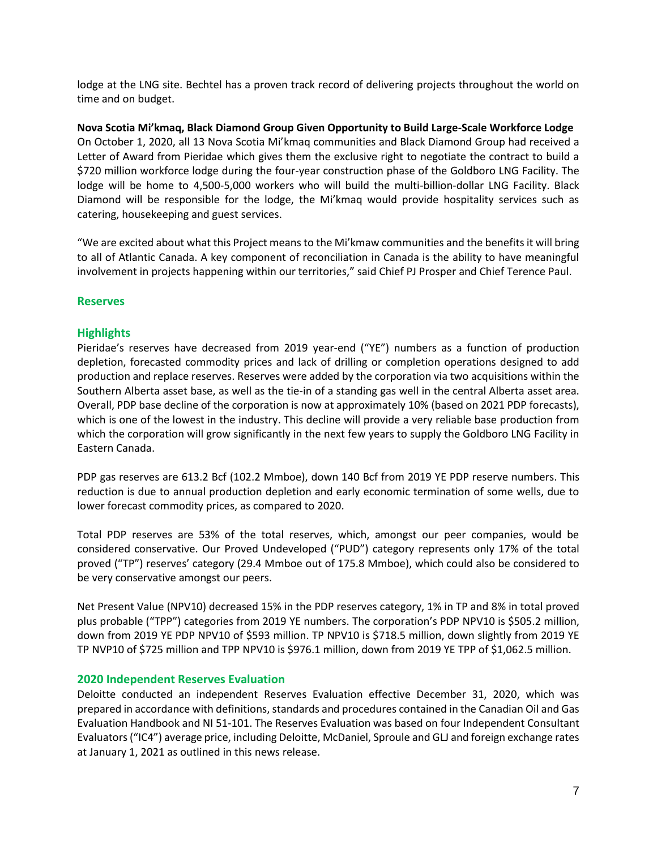lodge at the LNG site. Bechtel has a proven track record of delivering projects throughout the world on time and on budget.

**Nova Scotia Mi'kmaq, Black Diamond Group Given Opportunity to Build Large-Scale Workforce Lodge**  On October 1, 2020, all 13 Nova Scotia Mi'kmaq communities and Black Diamond Group had received a Letter of Award from Pieridae which gives them the exclusive right to negotiate the contract to build a \$720 million workforce lodge during the four-year construction phase of the Goldboro LNG Facility. The lodge will be home to 4,500-5,000 workers who will build the multi-billion-dollar LNG Facility. Black Diamond will be responsible for the lodge, the Mi'kmaq would provide hospitality services such as catering, housekeeping and guest services.

"We are excited about what this Project means to the Mi'kmaw communities and the benefits it will bring to all of Atlantic Canada. A key component of reconciliation in Canada is the ability to have meaningful involvement in projects happening within our territories," said Chief PJ Prosper and Chief Terence Paul.

## **Reserves**

## **Highlights**

Pieridae's reserves have decreased from 2019 year-end ("YE") numbers as a function of production depletion, forecasted commodity prices and lack of drilling or completion operations designed to add production and replace reserves. Reserves were added by the corporation via two acquisitions within the Southern Alberta asset base, as well as the tie-in of a standing gas well in the central Alberta asset area. Overall, PDP base decline of the corporation is now at approximately 10% (based on 2021 PDP forecasts), which is one of the lowest in the industry. This decline will provide a very reliable base production from which the corporation will grow significantly in the next few years to supply the Goldboro LNG Facility in Eastern Canada.

PDP gas reserves are 613.2 Bcf (102.2 Mmboe), down 140 Bcf from 2019 YE PDP reserve numbers. This reduction is due to annual production depletion and early economic termination of some wells, due to lower forecast commodity prices, as compared to 2020.

Total PDP reserves are 53% of the total reserves, which, amongst our peer companies, would be considered conservative. Our Proved Undeveloped ("PUD") category represents only 17% of the total proved ("TP") reserves' category (29.4 Mmboe out of 175.8 Mmboe), which could also be considered to be very conservative amongst our peers.

Net Present Value (NPV10) decreased 15% in the PDP reserves category, 1% in TP and 8% in total proved plus probable ("TPP") categories from 2019 YE numbers. The corporation's PDP NPV10 is \$505.2 million, down from 2019 YE PDP NPV10 of \$593 million. TP NPV10 is \$718.5 million, down slightly from 2019 YE TP NVP10 of \$725 million and TPP NPV10 is \$976.1 million, down from 2019 YE TPP of \$1,062.5 million.

## **2020 Independent Reserves Evaluation**

Deloitte conducted an independent Reserves Evaluation effective December 31, 2020, which was prepared in accordance with definitions, standards and procedures contained in the Canadian Oil and Gas Evaluation Handbook and NI 51-101. The Reserves Evaluation was based on four Independent Consultant Evaluators("IC4") average price, including Deloitte, McDaniel, Sproule and GLJ and foreign exchange rates at January 1, 2021 as outlined in this news release.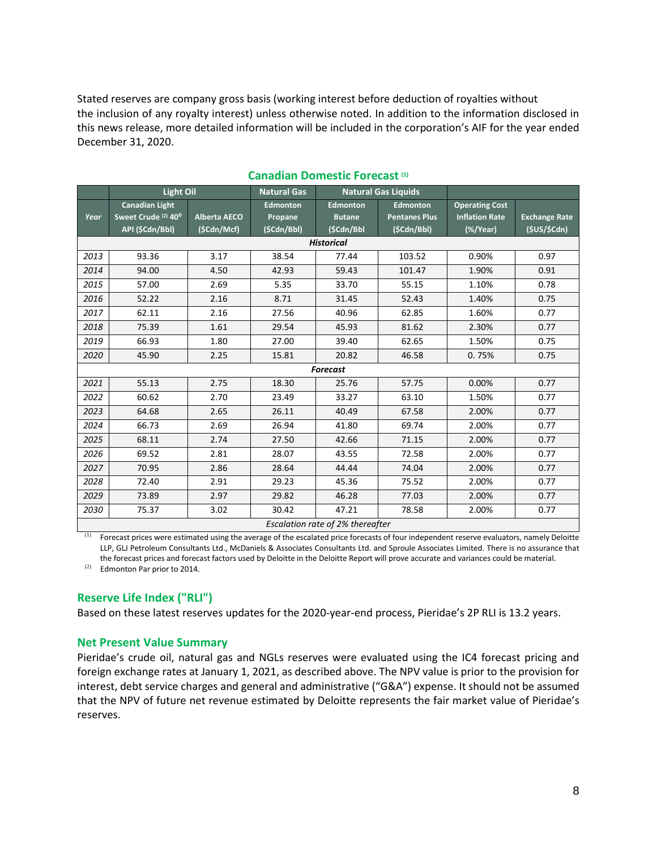Stated reserves are company gross basis (working interest before deduction of royalties without the inclusion of any royalty interest) unless otherwise noted. In addition to the information disclosed in this news release, more detailed information will be included in the corporation's AIF for the year ended December 31, 2020.

|                                  | <b>Light Oil</b>               |                     | <b>Natural Gas</b> | <b>Natural Gas Liquids</b> |                      |                       |                      |  |
|----------------------------------|--------------------------------|---------------------|--------------------|----------------------------|----------------------|-----------------------|----------------------|--|
|                                  | Canadian Light                 |                     | <b>Edmonton</b>    | <b>Edmonton</b>            | <b>Edmonton</b>      | <b>Operating Cost</b> |                      |  |
| Year                             | Sweet Crude <sup>(2)</sup> 40° | <b>Alberta AECO</b> | Propane            | <b>Butane</b>              | <b>Pentanes Plus</b> | <b>Inflation Rate</b> | <b>Exchange Rate</b> |  |
|                                  | API (\$Cdn/Bbl)                | (\$Cdn/Mcf)         | (\$Cdn/Bbl)        | (\$Cdn/Bbl                 | (\$Cdn/Bbl)          | (%                    | (\$US/\$Cdn)         |  |
| <b>Historical</b>                |                                |                     |                    |                            |                      |                       |                      |  |
| 2013                             | 93.36                          | 3.17                | 38.54              | 77.44                      | 103.52               | 0.90%                 | 0.97                 |  |
| 2014                             | 94.00                          | 4.50                | 42.93              | 59.43                      | 101.47               | 1.90%                 | 0.91                 |  |
| 2015                             | 57.00                          | 2.69                | 5.35               | 33.70                      | 55.15                | 1.10%                 | 0.78                 |  |
| 2016                             | 52.22                          | 2.16                | 8.71               | 31.45                      | 52.43                | 1.40%                 | 0.75                 |  |
| 2017                             | 62.11                          | 2.16                | 27.56              | 40.96                      | 62.85                | 1.60%                 | 0.77                 |  |
| 2018                             | 75.39                          | 1.61                | 29.54              | 45.93                      | 81.62                | 2.30%                 | 0.77                 |  |
| 2019                             | 66.93                          | 1.80                | 27.00              | 39.40                      | 62.65                | 1.50%                 | 0.75                 |  |
| 2020                             | 45.90                          | 2.25                | 15.81              | 20.82                      | 46.58                | 0.75%                 | 0.75                 |  |
| <b>Forecast</b>                  |                                |                     |                    |                            |                      |                       |                      |  |
| 2021                             | 55.13                          | 2.75                | 18.30              | 25.76                      | 57.75                | 0.00%                 | 0.77                 |  |
| 2022                             | 60.62                          | 2.70                | 23.49              | 33.27                      | 63.10                | 1.50%                 | 0.77                 |  |
| 2023                             | 64.68                          | 2.65                | 26.11              | 40.49                      | 67.58                | 2.00%                 | 0.77                 |  |
| 2024                             | 66.73                          | 2.69                | 26.94              | 41.80                      | 69.74                | 2.00%                 | 0.77                 |  |
| 2025                             | 68.11                          | 2.74                | 27.50              | 42.66                      | 71.15                | 2.00%                 | 0.77                 |  |
| 2026                             | 69.52                          | 2.81                | 28.07              | 43.55                      | 72.58                | 2.00%                 | 0.77                 |  |
| 2027                             | 70.95                          | 2.86                | 28.64              | 44.44                      | 74.04                | 2.00%                 | 0.77                 |  |
| 2028                             | 72.40                          | 2.91                | 29.23              | 45.36                      | 75.52                | 2.00%                 | 0.77                 |  |
| 2029                             | 73.89                          | 2.97                | 29.82              | 46.28                      | 77.03                | 2.00%                 | 0.77                 |  |
| 2030                             | 75.37                          | 3.02                | 30.42              | 47.21                      | 78.58                | 2.00%                 | 0.77                 |  |
| Escalation rate of 2% thereafter |                                |                     |                    |                            |                      |                       |                      |  |

## **Canadian Domestic Forecast (1)**

Forecast prices were estimated using the average of the escalated price forecasts of four independent reserve evaluators, namely Deloitte LLP, GLJ Petroleum Consultants Ltd., McDaniels & Associates Consultants Ltd. and Sproule Associates Limited. There is no assurance that the forecast prices and forecast factors used by Deloitte in the Deloitte Report will prove accurate and variances could be material.

(2) Edmonton Par prior to 2014.

## **Reserve Life Index ("RLI")**

Based on these latest reserves updates for the 2020-year-end process, Pieridae's 2P RLI is 13.2 years.

## **Net Present Value Summary**

Pieridae's crude oil, natural gas and NGLs reserves were evaluated using the IC4 forecast pricing and foreign exchange rates at January 1, 2021, as described above. The NPV value is prior to the provision for interest, debt service charges and general and administrative ("G&A") expense. It should not be assumed that the NPV of future net revenue estimated by Deloitte represents the fair market value of Pieridae's reserves.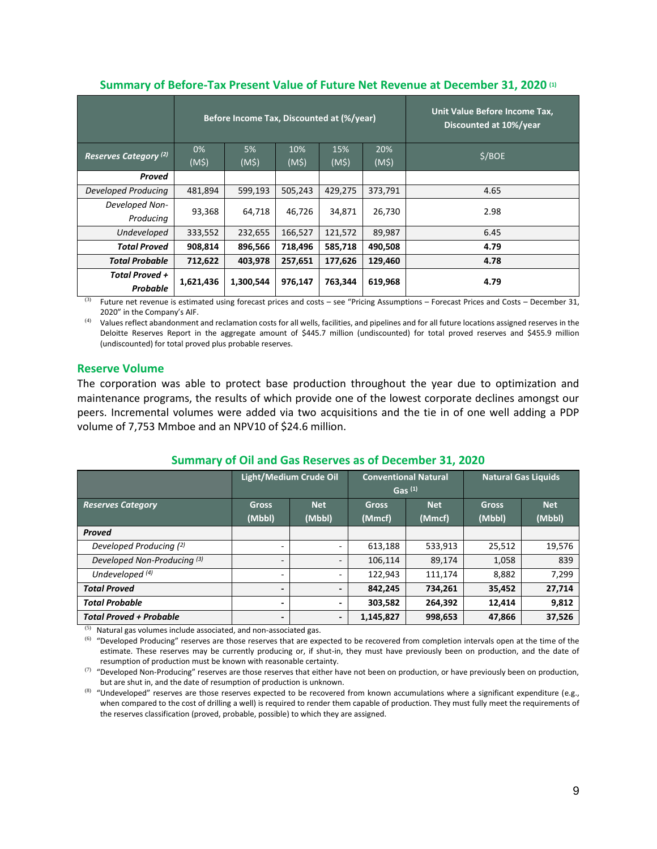|                                  |              | Before Income Tax, Discounted at (%/year) |         | Unit Value Before Income Tax,<br>Discounted at 10%/year |              |        |        |      |
|----------------------------------|--------------|-------------------------------------------|---------|---------------------------------------------------------|--------------|--------|--------|------|
| Reserves Category <sup>(2)</sup> | 0%           | 5%                                        | 10%     | 15%                                                     | 20%          | \$/BOE |        |      |
|                                  | $(M\hat{S})$ | $(M\zeta)$                                | (M\$)   | $(M\hat{S})$                                            | $(M\dot{S})$ |        |        |      |
| Proved                           |              |                                           |         |                                                         |              |        |        |      |
| Developed Producing              | 481,894      | 599,193                                   | 505,243 | 429,275                                                 | 373,791      | 4.65   |        |      |
| Developed Non-                   |              | 93,368                                    |         | 64,718                                                  | 46,726       | 34,871 | 26,730 | 2.98 |
| Producing                        |              |                                           |         |                                                         |              |        |        |      |
| Undeveloped                      | 333,552      | 232,655                                   | 166,527 | 121,572                                                 | 89,987       | 6.45   |        |      |
| <b>Total Proved</b>              | 908,814      | 896,566                                   | 718,496 | 585,718                                                 | 490,508      | 4.79   |        |      |
| <b>Total Probable</b>            | 712,622      | 403,978                                   | 257,651 | 177,626                                                 | 129,460      | 4.78   |        |      |
| Total Proved +                   | 1,621,436    | 1,300,544                                 | 976,147 | 763,344                                                 | 619,968      | 4.79   |        |      |
| Probable                         |              |                                           |         |                                                         |              |        |        |      |

#### **Summary of Before-Tax Present Value of Future Net Revenue at December 31, 2020 (1)**

(3) Future net revenue is estimated using forecast prices and costs – see "Pricing Assumptions – Forecast Prices and Costs – December 31, 2020" in the Company's AIF.

(4) Values reflect abandonment and reclamation costs for all wells, facilities, and pipelines and for all future locations assigned reserves in the Deloitte Reserves Report in the aggregate amount of \$445.7 million (undiscounted) for total proved reserves and \$455.9 million (undiscounted) for total proved plus probable reserves.

## **Reserve Volume**

The corporation was able to protect base production throughout the year due to optimization and maintenance programs, the results of which provide one of the lowest corporate declines amongst our peers. Incremental volumes were added via two acquisitions and the tie in of one well adding a PDP volume of 7,753 Mmboe and an NPV10 of \$24.6 million.

|                                        | <b>Light/Medium Crude Oil</b> |                          | <b>Conventional Natural</b><br>$GaS$ (1) |                      | <b>Natural Gas Liquids</b> |                      |
|----------------------------------------|-------------------------------|--------------------------|------------------------------------------|----------------------|----------------------------|----------------------|
| <b>Reserves Category</b>               | <b>Gross</b><br>(Mbbl)        | <b>Net</b><br>(Mbbl)     | <b>Gross</b><br>(Mmcf)                   | <b>Net</b><br>(Mmcf) | <b>Gross</b><br>(Mbbl)     | <b>Net</b><br>(Mbbl) |
| <b>Proved</b>                          |                               |                          |                                          |                      |                            |                      |
| Developed Producing (2)                | -                             | $\overline{\phantom{a}}$ | 613,188                                  | 533,913              | 25,512                     | 19,576               |
| Developed Non-Producing <sup>(3)</sup> | $\overline{\phantom{a}}$      | $\overline{\phantom{0}}$ | 106,114                                  | 89,174               | 1,058                      | 839                  |
| Undeveloped $(4)$                      | $\overline{\phantom{a}}$      | ٠                        | 122,943                                  | 111.174              | 8.882                      | 7,299                |
| <b>Total Proved</b>                    | $\overline{\phantom{a}}$      | $\overline{\phantom{a}}$ | 842,245                                  | 734,261              | 35,452                     | 27,714               |
| <b>Total Probable</b>                  | -                             | ٠                        | 303,582                                  | 264.392              | 12.414                     | 9,812                |
| <b>Total Proved + Probable</b>         | $\overline{\phantom{a}}$      | $\overline{\phantom{a}}$ | 1,145,827                                | 998,653              | 47,866                     | 37,526               |

## **Summary of Oil and Gas Reserves as of December 31, 2020**

(5) Natural gas volumes include associated, and non-associated gas.

 $<sup>(6)</sup>$  "Developed Producing" reserves are those reserves that are expected to be recovered from completion intervals open at the time of the</sup> estimate. These reserves may be currently producing or, if shut-in, they must have previously been on production, and the date of resumption of production must be known with reasonable certainty.

 $(7)$  "Developed Non-Producing" reserves are those reserves that either have not been on production, or have previously been on production, but are shut in, and the date of resumption of production is unknown.

 $^{(8)}$  "Undeveloped" reserves are those reserves expected to be recovered from known accumulations where a significant expenditure (e.g., when compared to the cost of drilling a well) is required to render them capable of production. They must fully meet the requirements of the reserves classification (proved, probable, possible) to which they are assigned.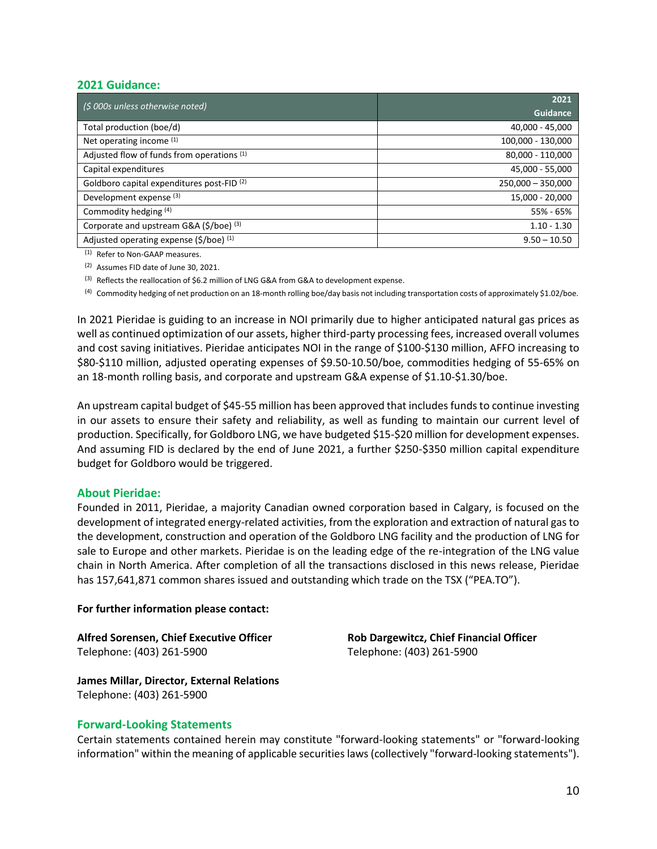#### **2021 Guidance:**

| (\$ 000s unless otherwise noted)                      | 2021                |  |  |  |
|-------------------------------------------------------|---------------------|--|--|--|
|                                                       | <b>Guidance</b>     |  |  |  |
| Total production (boe/d)                              | 40,000 - 45,000     |  |  |  |
| Net operating income (1)                              | 100,000 - 130,000   |  |  |  |
| Adjusted flow of funds from operations (1)            | 80,000 - 110,000    |  |  |  |
| Capital expenditures                                  | 45,000 - 55,000     |  |  |  |
| Goldboro capital expenditures post-FID <sup>(2)</sup> | $250,000 - 350,000$ |  |  |  |
| Development expense <sup>(3)</sup>                    | 15,000 - 20,000     |  |  |  |
| Commodity hedging (4)                                 | 55% - 65%           |  |  |  |
| Corporate and upstream G&A (\$/boe) (3)               | $1.10 - 1.30$       |  |  |  |
| Adjusted operating expense (\$/boe) (1)               | $9.50 - 10.50$      |  |  |  |

(1) Refer to Non-GAAP measures.

(2) Assumes FID date of June 30, 2021.

(3) Reflects the reallocation of \$6.2 million of LNG G&A from G&A to development expense.

(4) Commodity hedging of net production on an 18-month rolling boe/day basis not including transportation costs of approximately \$1.02/boe.

In 2021 Pieridae is guiding to an increase in NOI primarily due to higher anticipated natural gas prices as well as continued optimization of our assets, higher third-party processing fees, increased overall volumes and cost saving initiatives. Pieridae anticipates NOI in the range of \$100-\$130 million, AFFO increasing to \$80-\$110 million, adjusted operating expenses of \$9.50-10.50/boe, commodities hedging of 55-65% on an 18-month rolling basis, and corporate and upstream G&A expense of \$1.10-\$1.30/boe.

An upstream capital budget of \$45-55 million has been approved that includes funds to continue investing in our assets to ensure their safety and reliability, as well as funding to maintain our current level of production. Specifically, for Goldboro LNG, we have budgeted \$15-\$20 million for development expenses. And assuming FID is declared by the end of June 2021, a further \$250-\$350 million capital expenditure budget for Goldboro would be triggered.

## **About Pieridae:**

Founded in 2011, Pieridae, a majority Canadian owned corporation based in Calgary, is focused on the development of integrated energy-related activities, from the exploration and extraction of natural gas to the development, construction and operation of the Goldboro LNG facility and the production of LNG for sale to Europe and other markets. Pieridae is on the leading edge of the re-integration of the LNG value chain in North America. After completion of all the transactions disclosed in this news release, Pieridae has 157,641,871 common shares issued and outstanding which trade on the TSX ("PEA.TO").

#### **For further information please contact:**

**Alfred Sorensen, Chief Executive Officer Rob Dargewitcz, Chief Financial Officer** Telephone: (403) 261-5900 Telephone: (403) 261-5900

**James Millar, Director, External Relations** Telephone: (403) 261-5900

#### **Forward-Looking Statements**

Certain statements contained herein may constitute "forward-looking statements" or "forward-looking information" within the meaning of applicable securities laws (collectively "forward-looking statements").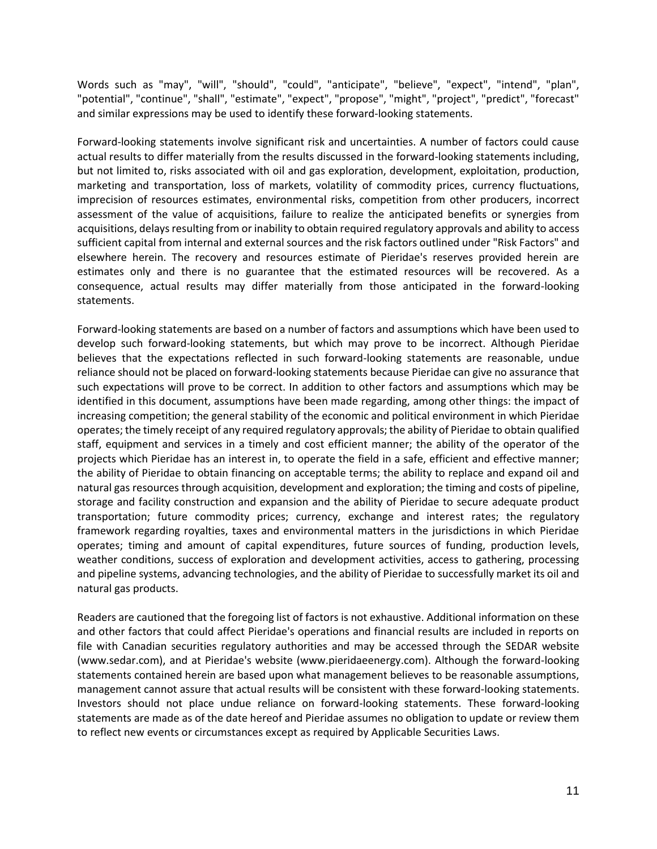Words such as "may", "will", "should", "could", "anticipate", "believe", "expect", "intend", "plan", "potential", "continue", "shall", "estimate", "expect", "propose", "might", "project", "predict", "forecast" and similar expressions may be used to identify these forward-looking statements.

Forward-looking statements involve significant risk and uncertainties. A number of factors could cause actual results to differ materially from the results discussed in the forward-looking statements including, but not limited to, risks associated with oil and gas exploration, development, exploitation, production, marketing and transportation, loss of markets, volatility of commodity prices, currency fluctuations, imprecision of resources estimates, environmental risks, competition from other producers, incorrect assessment of the value of acquisitions, failure to realize the anticipated benefits or synergies from acquisitions, delays resulting from or inability to obtain required regulatory approvals and ability to access sufficient capital from internal and external sources and the risk factors outlined under "Risk Factors" and elsewhere herein. The recovery and resources estimate of Pieridae's reserves provided herein are estimates only and there is no guarantee that the estimated resources will be recovered. As a consequence, actual results may differ materially from those anticipated in the forward-looking statements.

Forward-looking statements are based on a number of factors and assumptions which have been used to develop such forward-looking statements, but which may prove to be incorrect. Although Pieridae believes that the expectations reflected in such forward-looking statements are reasonable, undue reliance should not be placed on forward-looking statements because Pieridae can give no assurance that such expectations will prove to be correct. In addition to other factors and assumptions which may be identified in this document, assumptions have been made regarding, among other things: the impact of increasing competition; the general stability of the economic and political environment in which Pieridae operates; the timely receipt of any required regulatory approvals; the ability of Pieridae to obtain qualified staff, equipment and services in a timely and cost efficient manner; the ability of the operator of the projects which Pieridae has an interest in, to operate the field in a safe, efficient and effective manner; the ability of Pieridae to obtain financing on acceptable terms; the ability to replace and expand oil and natural gas resources through acquisition, development and exploration; the timing and costs of pipeline, storage and facility construction and expansion and the ability of Pieridae to secure adequate product transportation; future commodity prices; currency, exchange and interest rates; the regulatory framework regarding royalties, taxes and environmental matters in the jurisdictions in which Pieridae operates; timing and amount of capital expenditures, future sources of funding, production levels, weather conditions, success of exploration and development activities, access to gathering, processing and pipeline systems, advancing technologies, and the ability of Pieridae to successfully market its oil and natural gas products.

Readers are cautioned that the foregoing list of factors is not exhaustive. Additional information on these and other factors that could affect Pieridae's operations and financial results are included in reports on file with Canadian securities regulatory authorities and may be accessed through the SEDAR website (www.sedar.com), and at Pieridae's website (www.pieridaeenergy.com). Although the forward-looking statements contained herein are based upon what management believes to be reasonable assumptions, management cannot assure that actual results will be consistent with these forward-looking statements. Investors should not place undue reliance on forward-looking statements. These forward-looking statements are made as of the date hereof and Pieridae assumes no obligation to update or review them to reflect new events or circumstances except as required by Applicable Securities Laws.